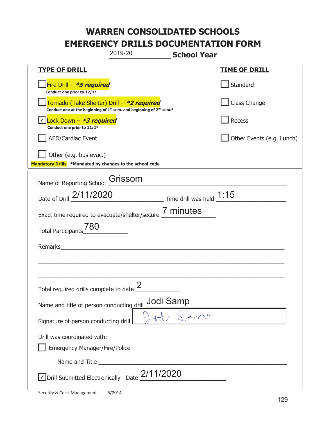|                                                                                         | 2019-20                                                                                     | <b>School Year</b> |                           |
|-----------------------------------------------------------------------------------------|---------------------------------------------------------------------------------------------|--------------------|---------------------------|
| <b>TYPE OF DRILL</b>                                                                    |                                                                                             |                    | <b>TIME OF DRILL</b>      |
| Fire Drill - *5 required<br>Conduct one prior to 12/1*                                  |                                                                                             |                    | Standard                  |
| Tornado (Take Shelter) Drill – *2 required                                              | Conduct one at the beginning of 1 <sup>st</sup> sem. and beginning of 2 <sup>nd</sup> sem.* |                    | Class Change              |
| √ Lock Down - <b>*3 required</b><br>Conduct one prior to 12/1*                          |                                                                                             |                    | Recess                    |
| <b>AED/Cardiac Event</b>                                                                |                                                                                             |                    | Other Events (e.g. Lunch) |
| Other (e.g. bus evac.)<br>Mandatory Drills *Mandated by changes to the school code      |                                                                                             |                    |                           |
| Name of Reporting School                                                                | Grissom                                                                                     |                    |                           |
| Date of Drill 2/11/2020 Time drill was held 1:15                                        |                                                                                             |                    |                           |
| Exact time required to evacuate/shelter/secure 7 minutes                                |                                                                                             |                    |                           |
| 780<br><b>Total Participants</b>                                                        |                                                                                             |                    |                           |
| Remarks                                                                                 |                                                                                             |                    |                           |
|                                                                                         |                                                                                             |                    |                           |
| Total required drills complete to date $\leq$                                           | $\mathcal{P}$                                                                               |                    |                           |
| Name and title of person conducting drill                                               |                                                                                             | Jodi Samp          |                           |
| Signature of person conducting drill                                                    |                                                                                             |                    |                           |
| Drill was coordinated with:<br><b>Emergency Manager/Fire/Police</b>                     |                                                                                             |                    |                           |
|                                                                                         |                                                                                             |                    |                           |
| $\triangledown$ Drill Submitted Electronically Date $\underline{\underline{2}}/11/2020$ |                                                                                             |                    |                           |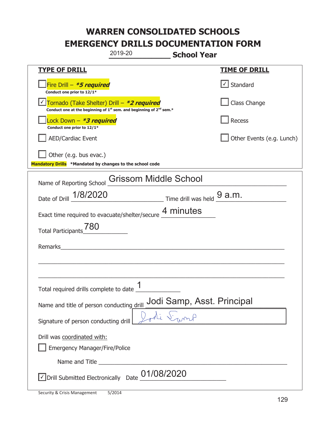|                                                                                    | 2019-20                                                                                                                                   | <b>School Year</b> |                           |
|------------------------------------------------------------------------------------|-------------------------------------------------------------------------------------------------------------------------------------------|--------------------|---------------------------|
| <b>TYPE OF DRILL</b>                                                               |                                                                                                                                           |                    | <u>TIME OF DRILL</u>      |
| Fire Drill - *5 required<br>Conduct one prior to 12/1*                             |                                                                                                                                           |                    | √ Standard                |
|                                                                                    | Tornado (Take Shelter) Drill – *2 required<br>Conduct one at the beginning of 1 <sup>st</sup> sem. and beginning of 2 <sup>nd</sup> sem.* |                    | Class Change              |
| Lock Down - <b>*3 required</b><br>Conduct one prior to 12/1*                       |                                                                                                                                           |                    | Recess                    |
| <b>AED/Cardiac Event</b>                                                           |                                                                                                                                           |                    | Other Events (e.g. Lunch) |
| Other (e.g. bus evac.)<br>Mandatory Drills *Mandated by changes to the school code |                                                                                                                                           |                    |                           |
| Name of Reporting School                                                           | <b>Grissom Middle School</b>                                                                                                              |                    |                           |
| Date of Drill 1/8/2020                                                             | $\frac{9}{2}$ Time drill was held $\frac{9}{2}$ a.m.                                                                                      |                    |                           |
| Exact time required to evacuate/shelter/secure 4 minutes                           |                                                                                                                                           |                    |                           |
| 780<br><b>Total Participants</b>                                                   |                                                                                                                                           |                    |                           |
| Remarks                                                                            |                                                                                                                                           |                    |                           |
|                                                                                    |                                                                                                                                           |                    |                           |
| Total required drills complete to date                                             | 1                                                                                                                                         |                    |                           |
| Jodi Samp, Asst. Principal<br>Name and title of person conducting drill            |                                                                                                                                           |                    |                           |
| Signature of person conducting drill                                               |                                                                                                                                           |                    |                           |
| Drill was coordinated with:<br><b>Emergency Manager/Fire/Police</b>                |                                                                                                                                           |                    |                           |
|                                                                                    |                                                                                                                                           |                    |                           |
| $\vee$ Drill Submitted Electronically Date $01/08/2020$                            |                                                                                                                                           |                    |                           |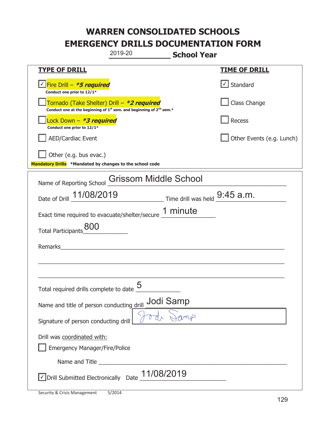|                                                                                           | 2019-20                                                                                     | <b>School Year</b> |                                              |
|-------------------------------------------------------------------------------------------|---------------------------------------------------------------------------------------------|--------------------|----------------------------------------------|
| <b>TYPE OF DRILL</b>                                                                      |                                                                                             |                    | <b>TIME OF DRILL</b>                         |
| Fire Drill - *5 required<br>Conduct one prior to 12/1*                                    |                                                                                             |                    | $\vert \textcolor{red}{\vee} \vert$ Standard |
| Tornado (Take Shelter) Drill – *2 required                                                | Conduct one at the beginning of 1 <sup>st</sup> sem. and beginning of 2 <sup>nd</sup> sem.* |                    | Class Change                                 |
| Lock Down - <b>*3 required</b><br>Conduct one prior to 12/1*                              |                                                                                             |                    | Recess                                       |
| <b>AED/Cardiac Event</b>                                                                  |                                                                                             |                    | Other Events (e.g. Lunch)                    |
| Other (e.g. bus evac.)<br>Mandatory Drills *Mandated by changes to the school code        |                                                                                             |                    |                                              |
| Name of Reporting School                                                                  | Grissom Middle School                                                                       |                    |                                              |
| Date of Drill 11/08/2019 Time drill was held 9:45 a.m.                                    |                                                                                             |                    |                                              |
| Exact time required to evacuate/shelter/secure 1 minute                                   |                                                                                             |                    |                                              |
| <b>Total Participants</b>                                                                 |                                                                                             |                    |                                              |
| Remarks                                                                                   |                                                                                             |                    |                                              |
|                                                                                           |                                                                                             |                    |                                              |
| Total required drills complete to date $\frac{5}{5}$                                      |                                                                                             |                    |                                              |
| Jodi Samp<br>Name and title of person conducting drill                                    |                                                                                             |                    |                                              |
| myA<br>Signature of person conducting drill                                               |                                                                                             |                    |                                              |
| Drill was coordinated with:<br><b>Emergency Manager/Fire/Police</b>                       |                                                                                             |                    |                                              |
|                                                                                           |                                                                                             |                    |                                              |
| $\boxed{\sqrt}$ Drill Submitted Electronically Date $\underline{\hspace{1cm}}$ 11/08/2019 |                                                                                             |                    |                                              |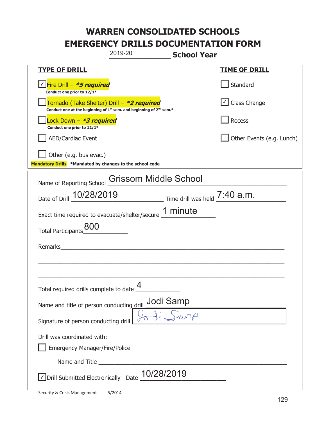|                                                                                    | 2019-20                                                                                     | <b>School Year</b> |                           |
|------------------------------------------------------------------------------------|---------------------------------------------------------------------------------------------|--------------------|---------------------------|
| <b>TYPE OF DRILL</b>                                                               |                                                                                             |                    | <u>TIME OF DRILL</u>      |
| <u>√ Fire Drill – *5 required</u><br>Conduct one prior to 12/1*                    |                                                                                             |                    | Standard                  |
| Tornado (Take Shelter) Drill – *2 required                                         | Conduct one at the beginning of 1 <sup>st</sup> sem. and beginning of 2 <sup>nd</sup> sem.* |                    | √ Class Change            |
| Lock Down - *3 required<br>Conduct one prior to 12/1*                              |                                                                                             |                    | Recess                    |
| <b>AED/Cardiac Event</b>                                                           |                                                                                             |                    | Other Events (e.g. Lunch) |
| Other (e.g. bus evac.)<br>Mandatory Drills *Mandated by changes to the school code |                                                                                             |                    |                           |
| Name of Reporting School                                                           | <b>Grissom Middle School</b>                                                                |                    |                           |
| Date of Drill $10/28/2019$ Time drill was held $7:40$ a.m.                         |                                                                                             |                    |                           |
| Exact time required to evacuate/shelter/secure 1 minute                            |                                                                                             |                    |                           |
| <b>Total Participants</b>                                                          |                                                                                             |                    |                           |
| Remarks                                                                            |                                                                                             |                    |                           |
|                                                                                    |                                                                                             |                    |                           |
| Total required drills complete to date $\frac{4}{1}$                               |                                                                                             |                    |                           |
| Jodi Samp<br>Name and title of person conducting drill                             |                                                                                             |                    |                           |
| Signature of person conducting drill                                               |                                                                                             |                    |                           |
| Drill was coordinated with:<br><b>Emergency Manager/Fire/Police</b>                |                                                                                             |                    |                           |
|                                                                                    |                                                                                             |                    |                           |
| √ Drill Submitted Electronically Date                                              | 10/28/2019                                                                                  |                    |                           |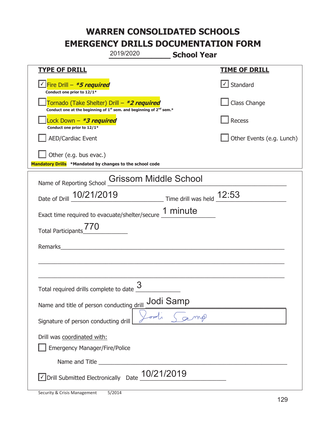|                                                                                                                                           | 2019/2020                    | <b>School Year</b> |                                   |
|-------------------------------------------------------------------------------------------------------------------------------------------|------------------------------|--------------------|-----------------------------------|
| <b>TYPE OF DRILL</b>                                                                                                                      |                              |                    | <b>TIME OF DRILL</b>              |
| Fire Drill - *5 required<br>Conduct one prior to 12/1*                                                                                    |                              |                    | $\lfloor \angle \rfloor$ Standard |
| Tornado (Take Shelter) Drill – *2 required<br>Conduct one at the beginning of 1 <sup>st</sup> sem. and beginning of 2 <sup>nd</sup> sem.* |                              |                    | Class Change                      |
| Lock Down - <b>*3 required</b><br>Conduct one prior to 12/1*                                                                              |                              |                    | Recess                            |
| <b>AED/Cardiac Event</b>                                                                                                                  |                              |                    | Other Events (e.g. Lunch)         |
| Other (e.g. bus evac.)<br>Mandatory Drills *Mandated by changes to the school code                                                        |                              |                    |                                   |
| Name of Reporting School                                                                                                                  | <b>Grissom Middle School</b> |                    |                                   |
| Date of Drill 10/21/2019 Time drill was held 12:53                                                                                        |                              |                    |                                   |
| Exact time required to evacuate/shelter/secure 1 minute                                                                                   |                              |                    |                                   |
| <b>Total Participants</b>                                                                                                                 |                              |                    |                                   |
| Remarks                                                                                                                                   |                              |                    |                                   |
|                                                                                                                                           |                              |                    |                                   |
| Total required drills complete to date <u>U</u>                                                                                           | 3                            |                    |                                   |
| Name and title of person conducting_drill                                                                                                 | Jodi Samp                    |                    |                                   |
| Signature of person conducting drill                                                                                                      |                              |                    |                                   |
| Drill was coordinated with:<br><b>Emergency Manager/Fire/Police</b>                                                                       |                              |                    |                                   |
|                                                                                                                                           |                              |                    |                                   |
| √Drill Submitted Electronically Date 10/21/2019                                                                                           |                              |                    |                                   |

T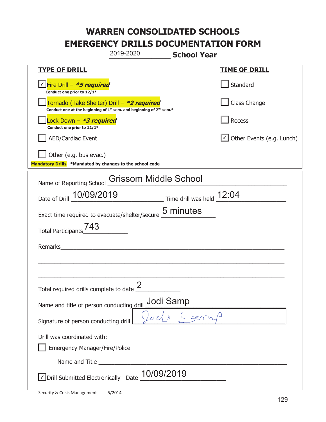|                                                                                    | 2019-2020                                                                                   | <b>School Year</b> |                                  |  |
|------------------------------------------------------------------------------------|---------------------------------------------------------------------------------------------|--------------------|----------------------------------|--|
| <b>TYPE OF DRILL</b>                                                               |                                                                                             |                    | <u>TIME OF DRILL</u>             |  |
| Fire Drill - *5 required<br>Conduct one prior to 12/1*                             |                                                                                             |                    | Standard                         |  |
| Tornado (Take Shelter) Drill – *2 required                                         | Conduct one at the beginning of 1 <sup>st</sup> sem. and beginning of 2 <sup>nd</sup> sem.* |                    | Class Change                     |  |
| Lock Down - <b>*3 required</b><br>Conduct one prior to 12/1*                       |                                                                                             |                    | Recess                           |  |
| <b>AED/Cardiac Event</b>                                                           |                                                                                             |                    | $\cup$ Other Events (e.g. Lunch) |  |
| Other (e.g. bus evac.)<br>Mandatory Drills *Mandated by changes to the school code |                                                                                             |                    |                                  |  |
| Name of Reporting School                                                           | <b>Grissom Middle School</b>                                                                |                    |                                  |  |
| Date of Drill 10/09/2019 Time drill was held 12:04                                 |                                                                                             |                    |                                  |  |
| Exact time required to evacuate/shelter/secure 5 minutes                           |                                                                                             |                    |                                  |  |
| 743<br><b>Total Participants</b>                                                   |                                                                                             |                    |                                  |  |
| Remarks                                                                            |                                                                                             |                    |                                  |  |
|                                                                                    |                                                                                             |                    |                                  |  |
| Total required drills complete to date $\frac{2}{3}$                               |                                                                                             |                    |                                  |  |
| Jodi Samp<br>Name and title of person conducting drill                             |                                                                                             |                    |                                  |  |
| Signature of person conducting drill                                               |                                                                                             |                    |                                  |  |
| Drill was coordinated with:<br><b>Emergency Manager/Fire/Police</b>                |                                                                                             |                    |                                  |  |
|                                                                                    |                                                                                             |                    |                                  |  |
| $\vee$ Drill Submitted Electronically Date $\_10/09/2019$                          |                                                                                             |                    |                                  |  |

I